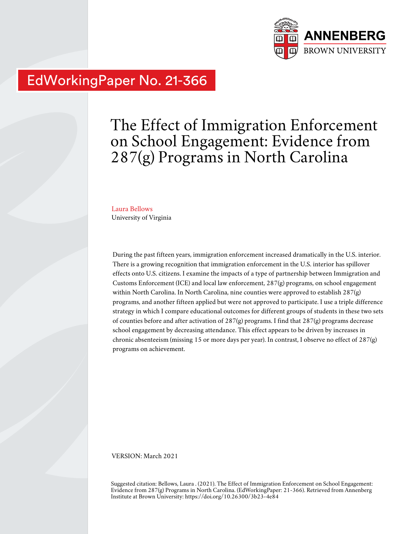

## EdWorkingPaper No. 21-366

# The Effect of Immigration Enforcement on School Engagement: Evidence from 287(g) Programs in North Carolina

Laura Bellows University of Virginia

During the past fifteen years, immigration enforcement increased dramatically in the U.S. interior. There is a growing recognition that immigration enforcement in the U.S. interior has spillover effects onto U.S. citizens. I examine the impacts of a type of partnership between Immigration and Customs Enforcement (ICE) and local law enforcement, 287(g) programs, on school engagement within North Carolina. In North Carolina, nine counties were approved to establish 287(g) programs, and another fifteen applied but were not approved to participate. I use a triple difference strategy in which I compare educational outcomes for different groups of students in these two sets of counties before and after activation of 287(g) programs. I find that 287(g) programs decrease school engagement by decreasing attendance. This effect appears to be driven by increases in chronic absenteeism (missing 15 or more days per year). In contrast, I observe no effect of 287(g) programs on achievement.

VERSION: March 2021

Suggested citation: Bellows, Laura . (2021). The Effect of Immigration Enforcement on School Engagement: Evidence from 287(g) Programs in North Carolina. (EdWorkingPaper: 21-366). Retrieved from Annenberg Institute at Brown University: https://doi.org/10.26300/3b23-4e84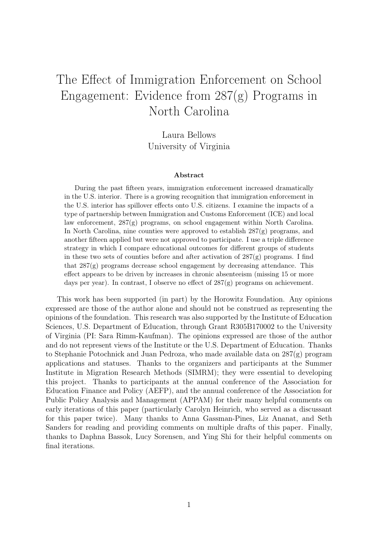## The Effect of Immigration Enforcement on School Engagement: Evidence from 287(g) Programs in North Carolina

Laura Bellows University of Virginia

#### Abstract

During the past fifteen years, immigration enforcement increased dramatically in the U.S. interior. There is a growing recognition that immigration enforcement in the U.S. interior has spillover effects onto U.S. citizens. I examine the impacts of a type of partnership between Immigration and Customs Enforcement (ICE) and local law enforcement, 287(g) programs, on school engagement within North Carolina. In North Carolina, nine counties were approved to establish  $287(g)$  programs, and another fifteen applied but were not approved to participate. I use a triple difference strategy in which I compare educational outcomes for different groups of students in these two sets of counties before and after activation of  $287(g)$  programs. I find that  $287(g)$  programs decrease school engagement by decreasing attendance. This effect appears to be driven by increases in chronic absenteeism (missing 15 or more days per year). In contrast, I observe no effect of  $287(g)$  programs on achievement.

This work has been supported (in part) by the Horowitz Foundation. Any opinions expressed are those of the author alone and should not be construed as representing the opinions of the foundation. This research was also supported by the Institute of Education Sciences, U.S. Department of Education, through Grant R305B170002 to the University of Virginia (PI: Sara Rimm-Kaufman). The opinions expressed are those of the author and do not represent views of the Institute or the U.S. Department of Education. Thanks to Stephanie Potochnick and Juan Pedroza, who made available data on 287(g) program applications and statuses. Thanks to the organizers and participants at the Summer Institute in Migration Research Methods (SIMRM); they were essential to developing this project. Thanks to participants at the annual conference of the Association for Education Finance and Policy (AEFP), and the annual conference of the Association for Public Policy Analysis and Management (APPAM) for their many helpful comments on early iterations of this paper (particularly Carolyn Heinrich, who served as a discussant for this paper twice). Many thanks to Anna Gassman-Pines, Liz Ananat, and Seth Sanders for reading and providing comments on multiple drafts of this paper. Finally, thanks to Daphna Bassok, Lucy Sorensen, and Ying Shi for their helpful comments on final iterations.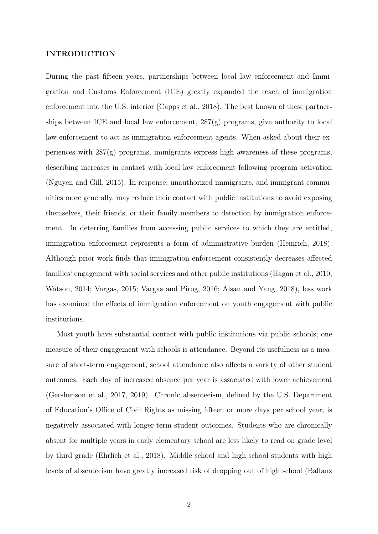#### INTRODUCTION

During the past fifteen years, partnerships between local law enforcement and Immigration and Customs Enforcement (ICE) greatly expanded the reach of immigration enforcement into the U.S. interior (Capps et al., 2018). The best known of these partnerships between ICE and local law enforcement, 287(g) programs, give authority to local law enforcement to act as immigration enforcement agents. When asked about their experiences with 287(g) programs, immigrants express high awareness of these programs, describing increases in contact with local law enforcement following program activation (Nguyen and Gill, 2015). In response, unauthorized immigrants, and immigrant communities more generally, may reduce their contact with public institutions to avoid exposing themselves, their friends, or their family members to detection by immigration enforcement. In deterring families from accessing public services to which they are entitled, immigration enforcement represents a form of administrative burden (Heinrich, 2018). Although prior work finds that immigration enforcement consistently decreases affected families' engagement with social services and other public institutions (Hagan et al., 2010; Watson, 2014; Vargas, 2015; Vargas and Pirog, 2016; Alsan and Yang, 2018), less work has examined the effects of immigration enforcement on youth engagement with public institutions.

Most youth have substantial contact with public institutions via public schools; one measure of their engagement with schools is attendance. Beyond its usefulness as a measure of short-term engagement, school attendance also affects a variety of other student outcomes. Each day of increased absence per year is associated with lower achievement (Gershenson et al., 2017, 2019). Chronic absenteeism, defined by the U.S. Department of Education's Office of Civil Rights as missing fifteen or more days per school year, is negatively associated with longer-term student outcomes. Students who are chronically absent for multiple years in early elementary school are less likely to read on grade level by third grade (Ehrlich et al., 2018). Middle school and high school students with high levels of absenteeism have greatly increased risk of dropping out of high school (Balfanz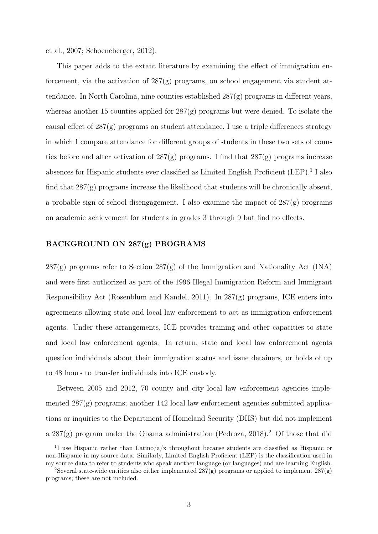et al., 2007; Schoeneberger, 2012).

This paper adds to the extant literature by examining the effect of immigration enforcement, via the activation of  $287(g)$  programs, on school engagement via student attendance. In North Carolina, nine counties established  $287(g)$  programs in different years, whereas another 15 counties applied for  $287(g)$  programs but were denied. To isolate the causal effect of 287(g) programs on student attendance, I use a triple differences strategy in which I compare attendance for different groups of students in these two sets of counties before and after activation of  $287(g)$  programs. I find that  $287(g)$  programs increase absences for Hispanic students ever classified as Limited English Proficient (LEP).<sup>1</sup> I also find that 287(g) programs increase the likelihood that students will be chronically absent, a probable sign of school disengagement. I also examine the impact of  $287(g)$  programs on academic achievement for students in grades 3 through 9 but find no effects.

### BACKGROUND ON 287(g) PROGRAMS

 $287(g)$  programs refer to Section  $287(g)$  of the Immigration and Nationality Act (INA) and were first authorized as part of the 1996 Illegal Immigration Reform and Immigrant Responsibility Act (Rosenblum and Kandel, 2011). In  $287(g)$  programs, ICE enters into agreements allowing state and local law enforcement to act as immigration enforcement agents. Under these arrangements, ICE provides training and other capacities to state and local law enforcement agents. In return, state and local law enforcement agents question individuals about their immigration status and issue detainers, or holds of up to 48 hours to transfer individuals into ICE custody.

Between 2005 and 2012, 70 county and city local law enforcement agencies implemented  $287(g)$  programs; another 142 local law enforcement agencies submitted applications or inquiries to the Department of Homeland Security (DHS) but did not implement a 287(g) program under the Obama administration (Pedroza, 2018).<sup>2</sup> Of those that did

<sup>&</sup>lt;sup>1</sup>I use Hispanic rather than Latino/a/x throughout because students are classified as Hispanic or non-Hispanic in my source data. Similarly, Limited English Proficient (LEP) is the classification used in my source data to refer to students who speak another language (or languages) and are learning English.

<sup>&</sup>lt;sup>2</sup>Several state-wide entities also either implemented  $287(g)$  programs or applied to implement  $287(g)$ programs; these are not included.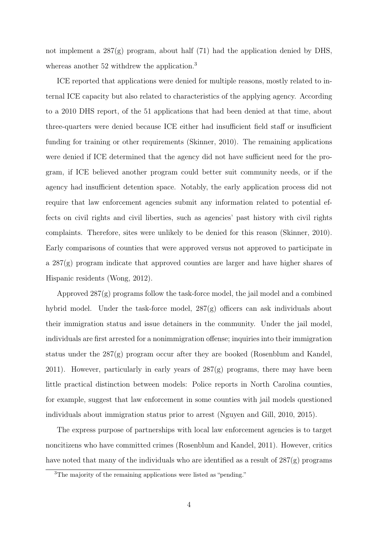not implement a 287(g) program, about half (71) had the application denied by DHS, whereas another 52 withdrew the application.<sup>3</sup>

ICE reported that applications were denied for multiple reasons, mostly related to internal ICE capacity but also related to characteristics of the applying agency. According to a 2010 DHS report, of the 51 applications that had been denied at that time, about three-quarters were denied because ICE either had insufficient field staff or insufficient funding for training or other requirements (Skinner, 2010). The remaining applications were denied if ICE determined that the agency did not have sufficient need for the program, if ICE believed another program could better suit community needs, or if the agency had insufficient detention space. Notably, the early application process did not require that law enforcement agencies submit any information related to potential effects on civil rights and civil liberties, such as agencies' past history with civil rights complaints. Therefore, sites were unlikely to be denied for this reason (Skinner, 2010). Early comparisons of counties that were approved versus not approved to participate in a  $287(g)$  program indicate that approved counties are larger and have higher shares of Hispanic residents (Wong, 2012).

Approved  $287(g)$  programs follow the task-force model, the jail model and a combined hybrid model. Under the task-force model,  $287(g)$  officers can ask individuals about their immigration status and issue detainers in the community. Under the jail model, individuals are first arrested for a nonimmigration offense; inquiries into their immigration status under the 287(g) program occur after they are booked (Rosenblum and Kandel, 2011). However, particularly in early years of  $287(g)$  programs, there may have been little practical distinction between models: Police reports in North Carolina counties, for example, suggest that law enforcement in some counties with jail models questioned individuals about immigration status prior to arrest (Nguyen and Gill, 2010, 2015).

The express purpose of partnerships with local law enforcement agencies is to target noncitizens who have committed crimes (Rosenblum and Kandel, 2011). However, critics have noted that many of the individuals who are identified as a result of 287(g) programs

<sup>3</sup>The majority of the remaining applications were listed as "pending."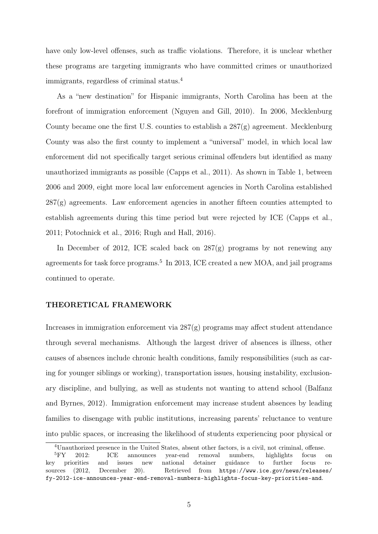have only low-level offenses, such as traffic violations. Therefore, it is unclear whether these programs are targeting immigrants who have committed crimes or unauthorized immigrants, regardless of criminal status.<sup>4</sup>

As a "new destination" for Hispanic immigrants, North Carolina has been at the forefront of immigration enforcement (Nguyen and Gill, 2010). In 2006, Mecklenburg County became one the first U.S. counties to establish a 287(g) agreement. Mecklenburg County was also the first county to implement a "universal" model, in which local law enforcement did not specifically target serious criminal offenders but identified as many unauthorized immigrants as possible (Capps et al., 2011). As shown in Table 1, between 2006 and 2009, eight more local law enforcement agencies in North Carolina established  $287(g)$  agreements. Law enforcement agencies in another fifteen counties attempted to establish agreements during this time period but were rejected by ICE (Capps et al., 2011; Potochnick et al., 2016; Rugh and Hall, 2016).

In December of 2012, ICE scaled back on  $287(g)$  programs by not renewing any agreements for task force programs.<sup>5</sup> In 2013, ICE created a new MOA, and jail programs continued to operate.

#### THEORETICAL FRAMEWORK

Increases in immigration enforcement via  $287(g)$  programs may affect student attendance through several mechanisms. Although the largest driver of absences is illness, other causes of absences include chronic health conditions, family responsibilities (such as caring for younger siblings or working), transportation issues, housing instability, exclusionary discipline, and bullying, as well as students not wanting to attend school (Balfanz and Byrnes, 2012). Immigration enforcement may increase student absences by leading families to disengage with public institutions, increasing parents' reluctance to venture into public spaces, or increasing the likelihood of students experiencing poor physical or

<sup>4</sup>Unauthorized presence in the United States, absent other factors, is a civil, not criminal, offense.

<sup>5</sup>FY 2012: ICE announces year-end removal numbers, highlights focus on key priorities and issues new national detainer guidance to further focus resources (2012, December 20). Retrieved from https://www.ice.gov/news/releases/ fy-2012-ice-announces-year-end-removal-numbers-highlights-focus-key-priorities-and.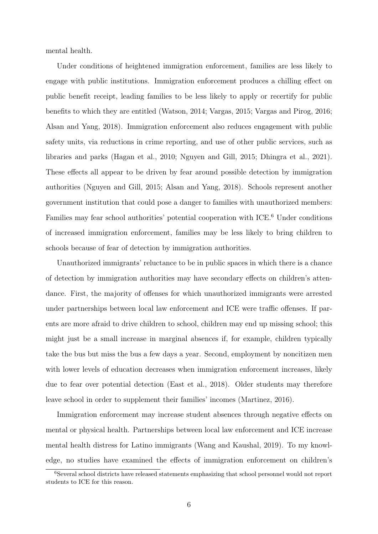mental health.

Under conditions of heightened immigration enforcement, families are less likely to engage with public institutions. Immigration enforcement produces a chilling effect on public benefit receipt, leading families to be less likely to apply or recertify for public benefits to which they are entitled (Watson, 2014; Vargas, 2015; Vargas and Pirog, 2016; Alsan and Yang, 2018). Immigration enforcement also reduces engagement with public safety units, via reductions in crime reporting, and use of other public services, such as libraries and parks (Hagan et al., 2010; Nguyen and Gill, 2015; Dhingra et al., 2021). These effects all appear to be driven by fear around possible detection by immigration authorities (Nguyen and Gill, 2015; Alsan and Yang, 2018). Schools represent another government institution that could pose a danger to families with unauthorized members: Families may fear school authorities' potential cooperation with ICE.<sup>6</sup> Under conditions of increased immigration enforcement, families may be less likely to bring children to schools because of fear of detection by immigration authorities.

Unauthorized immigrants' reluctance to be in public spaces in which there is a chance of detection by immigration authorities may have secondary effects on children's attendance. First, the majority of offenses for which unauthorized immigrants were arrested under partnerships between local law enforcement and ICE were traffic offenses. If parents are more afraid to drive children to school, children may end up missing school; this might just be a small increase in marginal absences if, for example, children typically take the bus but miss the bus a few days a year. Second, employment by noncitizen men with lower levels of education decreases when immigration enforcement increases, likely due to fear over potential detection (East et al., 2018). Older students may therefore leave school in order to supplement their families' incomes (Martinez, 2016).

Immigration enforcement may increase student absences through negative effects on mental or physical health. Partnerships between local law enforcement and ICE increase mental health distress for Latino immigrants (Wang and Kaushal, 2019). To my knowledge, no studies have examined the effects of immigration enforcement on children's

<sup>6</sup>Several school districts have released statements emphasizing that school personnel would not report students to ICE for this reason.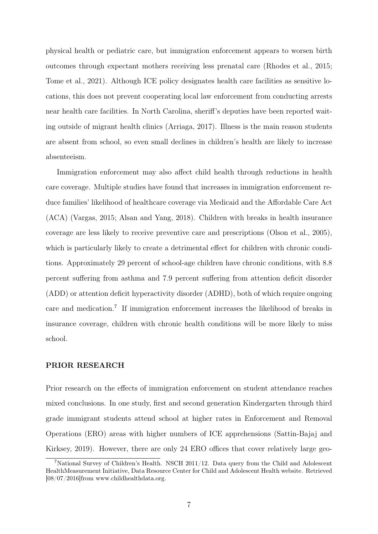physical health or pediatric care, but immigration enforcement appears to worsen birth outcomes through expectant mothers receiving less prenatal care (Rhodes et al., 2015; Tome et al., 2021). Although ICE policy designates health care facilities as sensitive locations, this does not prevent cooperating local law enforcement from conducting arrests near health care facilities. In North Carolina, sheriff's deputies have been reported waiting outside of migrant health clinics (Arriaga, 2017). Illness is the main reason students are absent from school, so even small declines in children's health are likely to increase absenteeism.

Immigration enforcement may also affect child health through reductions in health care coverage. Multiple studies have found that increases in immigration enforcement reduce families' likelihood of healthcare coverage via Medicaid and the Affordable Care Act (ACA) (Vargas, 2015; Alsan and Yang, 2018). Children with breaks in health insurance coverage are less likely to receive preventive care and prescriptions (Olson et al., 2005), which is particularly likely to create a detrimental effect for children with chronic conditions. Approximately 29 percent of school-age children have chronic conditions, with 8.8 percent suffering from asthma and 7.9 percent suffering from attention deficit disorder (ADD) or attention deficit hyperactivity disorder (ADHD), both of which require ongoing care and medication.<sup>7</sup> If immigration enforcement increases the likelihood of breaks in insurance coverage, children with chronic health conditions will be more likely to miss school.

#### PRIOR RESEARCH

Prior research on the effects of immigration enforcement on student attendance reaches mixed conclusions. In one study, first and second generation Kindergarten through third grade immigrant students attend school at higher rates in Enforcement and Removal Operations (ERO) areas with higher numbers of ICE apprehensions (Sattin-Bajaj and Kirksey, 2019). However, there are only 24 ERO offices that cover relatively large geo-

<sup>7</sup>National Survey of Children's Health. NSCH 2011/12. Data query from the Child and Adolescent HealthMeasurement Initiative, Data Resource Center for Child and Adolescent Health website. Retrieved [08/07/2016]from www.childhealthdata.org.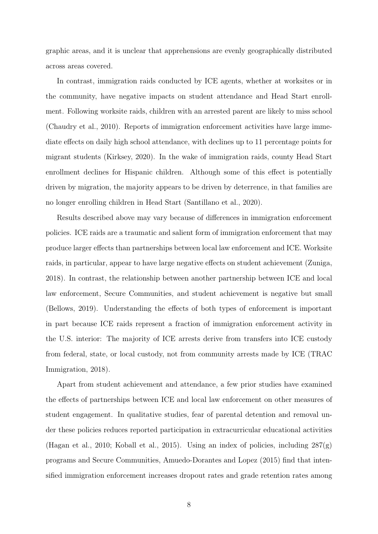graphic areas, and it is unclear that apprehensions are evenly geographically distributed across areas covered.

In contrast, immigration raids conducted by ICE agents, whether at worksites or in the community, have negative impacts on student attendance and Head Start enrollment. Following worksite raids, children with an arrested parent are likely to miss school (Chaudry et al., 2010). Reports of immigration enforcement activities have large immediate effects on daily high school attendance, with declines up to 11 percentage points for migrant students (Kirksey, 2020). In the wake of immigration raids, county Head Start enrollment declines for Hispanic children. Although some of this effect is potentially driven by migration, the majority appears to be driven by deterrence, in that families are no longer enrolling children in Head Start (Santillano et al., 2020).

Results described above may vary because of differences in immigration enforcement policies. ICE raids are a traumatic and salient form of immigration enforcement that may produce larger effects than partnerships between local law enforcement and ICE. Worksite raids, in particular, appear to have large negative effects on student achievement (Zuniga, 2018). In contrast, the relationship between another partnership between ICE and local law enforcement, Secure Communities, and student achievement is negative but small (Bellows, 2019). Understanding the effects of both types of enforcement is important in part because ICE raids represent a fraction of immigration enforcement activity in the U.S. interior: The majority of ICE arrests derive from transfers into ICE custody from federal, state, or local custody, not from community arrests made by ICE (TRAC Immigration, 2018).

Apart from student achievement and attendance, a few prior studies have examined the effects of partnerships between ICE and local law enforcement on other measures of student engagement. In qualitative studies, fear of parental detention and removal under these policies reduces reported participation in extracurricular educational activities (Hagan et al., 2010; Koball et al., 2015). Using an index of policies, including  $287(g)$ programs and Secure Communities, Amuedo-Dorantes and Lopez (2015) find that intensified immigration enforcement increases dropout rates and grade retention rates among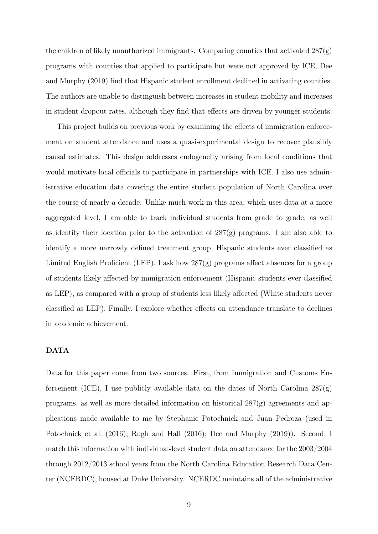the children of likely unauthorized immigrants. Comparing counties that activated  $287(g)$ programs with counties that applied to participate but were not approved by ICE, Dee and Murphy (2019) find that Hispanic student enrollment declined in activating counties. The authors are unable to distinguish between increases in student mobility and increases in student dropout rates, although they find that effects are driven by younger students.

This project builds on previous work by examining the effects of immigration enforcement on student attendance and uses a quasi-experimental design to recover plausibly causal estimates. This design addresses endogeneity arising from local conditions that would motivate local officials to participate in partnerships with ICE. I also use administrative education data covering the entire student population of North Carolina over the course of nearly a decade. Unlike much work in this area, which uses data at a more aggregated level, I am able to track individual students from grade to grade, as well as identify their location prior to the activation of  $287(g)$  programs. I am also able to identify a more narrowly defined treatment group, Hispanic students ever classified as Limited English Proficient (LEP). I ask how  $287(g)$  programs affect absences for a group of students likely affected by immigration enforcement (Hispanic students ever classified as LEP), as compared with a group of students less likely affected (White students never classified as LEP). Finally, I explore whether effects on attendance translate to declines in academic achievement.

### DATA

Data for this paper come from two sources. First, from Immigration and Customs Enforcement (ICE), I use publicly available data on the dates of North Carolina 287(g) programs, as well as more detailed information on historical  $287(g)$  agreements and applications made available to me by Stephanie Potochnick and Juan Pedroza (used in Potochnick et al. (2016); Rugh and Hall (2016); Dee and Murphy (2019)). Second, I match this information with individual-level student data on attendance for the 2003/2004 through 2012/2013 school years from the North Carolina Education Research Data Center (NCERDC), housed at Duke University. NCERDC maintains all of the administrative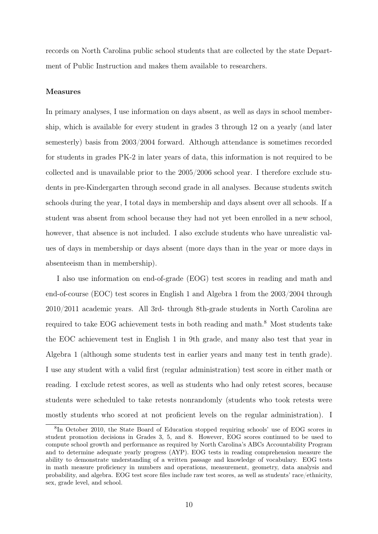records on North Carolina public school students that are collected by the state Department of Public Instruction and makes them available to researchers.

#### Measures

In primary analyses, I use information on days absent, as well as days in school membership, which is available for every student in grades 3 through 12 on a yearly (and later semesterly) basis from 2003/2004 forward. Although attendance is sometimes recorded for students in grades PK-2 in later years of data, this information is not required to be collected and is unavailable prior to the 2005/2006 school year. I therefore exclude students in pre-Kindergarten through second grade in all analyses. Because students switch schools during the year, I total days in membership and days absent over all schools. If a student was absent from school because they had not yet been enrolled in a new school, however, that absence is not included. I also exclude students who have unrealistic values of days in membership or days absent (more days than in the year or more days in absenteeism than in membership).

I also use information on end-of-grade (EOG) test scores in reading and math and end-of-course (EOC) test scores in English 1 and Algebra 1 from the 2003/2004 through 2010/2011 academic years. All 3rd- through 8th-grade students in North Carolina are required to take EOG achievement tests in both reading and math.<sup>8</sup> Most students take the EOC achievement test in English 1 in 9th grade, and many also test that year in Algebra 1 (although some students test in earlier years and many test in tenth grade). I use any student with a valid first (regular administration) test score in either math or reading. I exclude retest scores, as well as students who had only retest scores, because students were scheduled to take retests nonrandomly (students who took retests were mostly students who scored at not proficient levels on the regular administration). I

<sup>8</sup> In October 2010, the State Board of Education stopped requiring schools' use of EOG scores in student promotion decisions in Grades 3, 5, and 8. However, EOG scores continued to be used to compute school growth and performance as required by North Carolina's ABCs Accountability Program and to determine adequate yearly progress (AYP). EOG tests in reading comprehension measure the ability to demonstrate understanding of a written passage and knowledge of vocabulary. EOG tests in math measure proficiency in numbers and operations, measurement, geometry, data analysis and probability, and algebra. EOG test score files include raw test scores, as well as students' race/ethnicity, sex, grade level, and school.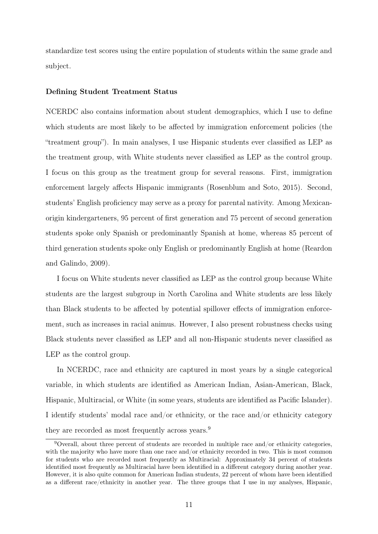standardize test scores using the entire population of students within the same grade and subject.

#### Defining Student Treatment Status

NCERDC also contains information about student demographics, which I use to define which students are most likely to be affected by immigration enforcement policies (the "treatment group"). In main analyses, I use Hispanic students ever classified as LEP as the treatment group, with White students never classified as LEP as the control group. I focus on this group as the treatment group for several reasons. First, immigration enforcement largely affects Hispanic immigrants (Rosenblum and Soto, 2015). Second, students' English proficiency may serve as a proxy for parental nativity. Among Mexicanorigin kindergarteners, 95 percent of first generation and 75 percent of second generation students spoke only Spanish or predominantly Spanish at home, whereas 85 percent of third generation students spoke only English or predominantly English at home (Reardon and Galindo, 2009).

I focus on White students never classified as LEP as the control group because White students are the largest subgroup in North Carolina and White students are less likely than Black students to be affected by potential spillover effects of immigration enforcement, such as increases in racial animus. However, I also present robustness checks using Black students never classified as LEP and all non-Hispanic students never classified as LEP as the control group.

In NCERDC, race and ethnicity are captured in most years by a single categorical variable, in which students are identified as American Indian, Asian-American, Black, Hispanic, Multiracial, or White (in some years, students are identified as Pacific Islander). I identify students' modal race and/or ethnicity, or the race and/or ethnicity category they are recorded as most frequently across years.<sup>9</sup>

<sup>9</sup>Overall, about three percent of students are recorded in multiple race and/or ethnicity categories, with the majority who have more than one race and/or ethnicity recorded in two. This is most common for students who are recorded most frequently as Multiracial: Approximately 34 percent of students identified most frequently as Multiracial have been identified in a different category during another year. However, it is also quite common for American Indian students, 22 percent of whom have been identified as a different race/ethnicity in another year. The three groups that I use in my analyses, Hispanic,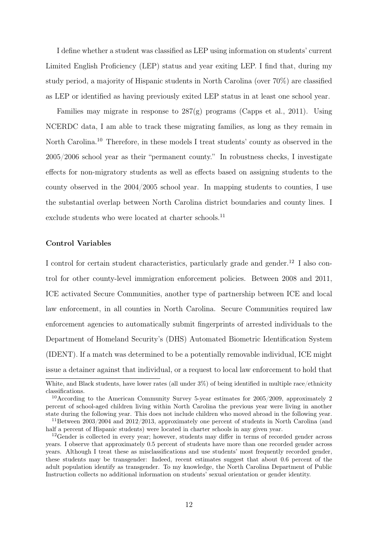I define whether a student was classified as LEP using information on students' current Limited English Proficiency (LEP) status and year exiting LEP. I find that, during my study period, a majority of Hispanic students in North Carolina (over 70%) are classified as LEP or identified as having previously exited LEP status in at least one school year.

Families may migrate in response to  $287(g)$  programs (Capps et al., 2011). Using NCERDC data, I am able to track these migrating families, as long as they remain in North Carolina.<sup>10</sup> Therefore, in these models I treat students' county as observed in the 2005/2006 school year as their "permanent county." In robustness checks, I investigate effects for non-migratory students as well as effects based on assigning students to the county observed in the 2004/2005 school year. In mapping students to counties, I use the substantial overlap between North Carolina district boundaries and county lines. I exclude students who were located at charter schools.<sup>11</sup>

#### Control Variables

I control for certain student characteristics, particularly grade and gender.<sup>12</sup> I also control for other county-level immigration enforcement policies. Between 2008 and 2011, ICE activated Secure Communities, another type of partnership between ICE and local law enforcement, in all counties in North Carolina. Secure Communities required law enforcement agencies to automatically submit fingerprints of arrested individuals to the Department of Homeland Security's (DHS) Automated Biometric Identification System (IDENT). If a match was determined to be a potentially removable individual, ICE might issue a detainer against that individual, or a request to local law enforcement to hold that

White, and Black students, have lower rates (all under 3%) of being identified in multiple race/ethnicity classifications.

<sup>10</sup>According to the American Community Survey 5-year estimates for 2005/2009, approximately 2 percent of school-aged children living within North Carolina the previous year were living in another state during the following year. This does not include children who moved abroad in the following year.

<sup>&</sup>lt;sup>11</sup>Between  $2003/2004$  and  $2012/2013$ , approximately one percent of students in North Carolina (and half a percent of Hispanic students) were located in charter schools in any given year.

<sup>12</sup>Gender is collected in every year; however, students may differ in terms of recorded gender across years. I observe that approximately 0.5 percent of students have more than one recorded gender across years. Although I treat these as misclassifications and use students' most frequently recorded gender, these students may be transgender: Indeed, recent estimates suggest that about 0.6 percent of the adult population identify as transgender. To my knowledge, the North Carolina Department of Public Instruction collects no additional information on students' sexual orientation or gender identity.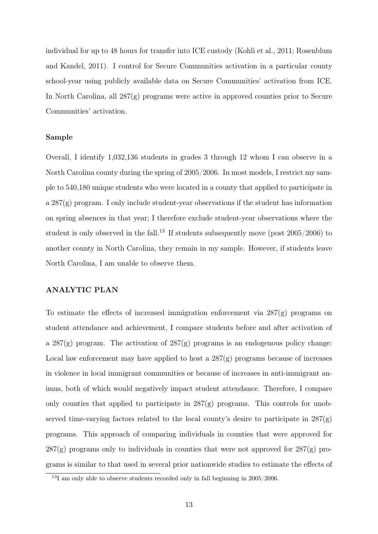individual for up to 48 hours for transfer into ICE custody (Kohli et al., 2011; Rosenblum and Kandel, 2011). I control for Secure Communities activation in a particular county school-year using publicly available data on Secure Communities' activation from ICE. In North Carolina, all  $287(g)$  programs were active in approved counties prior to Secure Communities' activation.

#### Sample

Overall, I identify 1,032,136 students in grades 3 through 12 whom I can observe in a North Carolina county during the spring of 2005/2006. In most models, I restrict my sample to 540,180 unique students who were located in a county that applied to participate in a 287(g) program. I only include student-year observations if the student has information on spring absences in that year; I therefore exclude student-year observations where the student is only observed in the fall.<sup>13</sup> If students subsequently move (post  $2005/2006$ ) to another county in North Carolina, they remain in my sample. However, if students leave North Carolina, I am unable to observe them.

## ANALYTIC PLAN

To estimate the effects of increased immigration enforcement via 287(g) programs on student attendance and achievement, I compare students before and after activation of a  $287(g)$  program. The activation of  $287(g)$  programs is an endogenous policy change: Local law enforcement may have applied to host a  $287(g)$  programs because of increases in violence in local immigrant communities or because of increases in anti-immigrant animus, both of which would negatively impact student attendance. Therefore, I compare only counties that applied to participate in  $287(g)$  programs. This controls for unobserved time-varying factors related to the local county's desire to participate in 287(g) programs. This approach of comparing individuals in counties that were approved for  $287(g)$  programs only to individuals in counties that were not approved for  $287(g)$  programs is similar to that used in several prior nationwide studies to estimate the effects of

<sup>&</sup>lt;sup>13</sup>I am only able to observe students recorded only in fall beginning in 2005/2006.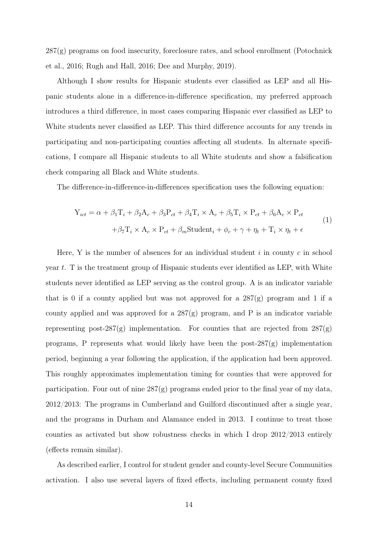287(g) programs on food insecurity, foreclosure rates, and school enrollment (Potochnick et al., 2016; Rugh and Hall, 2016; Dee and Murphy, 2019).

Although I show results for Hispanic students ever classified as LEP and all Hispanic students alone in a difference-in-difference specification, my preferred approach introduces a third difference, in most cases comparing Hispanic ever classified as LEP to White students never classified as LEP. This third difference accounts for any trends in participating and non-participating counties affecting all students. In alternate specifications, I compare all Hispanic students to all White students and show a falsification check comparing all Black and White students.

The difference-in-difference-in-differences specification uses the following equation:

$$
Y_{ict} = \alpha + \beta_1 T_i + \beta_2 A_c + \beta_3 P_{ct} + \beta_4 T_i \times A_c + \beta_5 T_i \times P_{ct} + \beta_6 A_c \times P_{ct}
$$
  
+
$$
\beta_7 T_i \times A_c \times P_{ct} + \beta_m \text{Student}_i + \phi_c + \gamma + \eta_t + T_i \times \eta_t + \epsilon
$$
 (1)

Here, Y is the number of absences for an individual student  $i$  in county  $c$  in school year t. T is the treatment group of Hispanic students ever identified as LEP, with White students never identified as LEP serving as the control group. A is an indicator variable that is 0 if a county applied but was not approved for a  $287(g)$  program and 1 if a county applied and was approved for a  $287(g)$  program, and P is an indicator variable representing post-287 $(g)$  implementation. For counties that are rejected from  $287(g)$ programs, P represents what would likely have been the post-287(g) implementation period, beginning a year following the application, if the application had been approved. This roughly approximates implementation timing for counties that were approved for participation. Four out of nine 287(g) programs ended prior to the final year of my data, 2012/2013: The programs in Cumberland and Guilford discontinued after a single year, and the programs in Durham and Alamance ended in 2013. I continue to treat those counties as activated but show robustness checks in which I drop 2012/2013 entirely (effects remain similar).

As described earlier, I control for student gender and county-level Secure Communities activation. I also use several layers of fixed effects, including permanent county fixed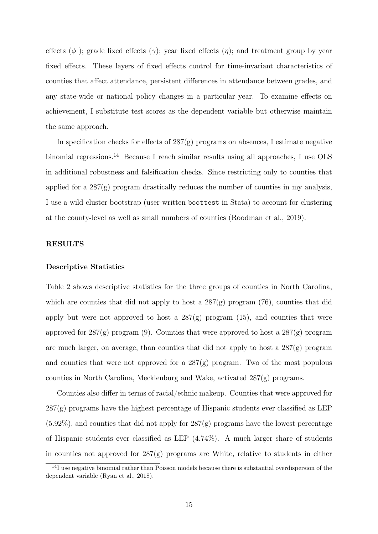effects ( $\phi$ ); grade fixed effects ( $\gamma$ ); year fixed effects ( $\eta$ ); and treatment group by year fixed effects. These layers of fixed effects control for time-invariant characteristics of counties that affect attendance, persistent differences in attendance between grades, and any state-wide or national policy changes in a particular year. To examine effects on achievement, I substitute test scores as the dependent variable but otherwise maintain the same approach.

In specification checks for effects of  $287(g)$  programs on absences, I estimate negative binomial regressions.<sup>14</sup> Because I reach similar results using all approaches, I use OLS in additional robustness and falsification checks. Since restricting only to counties that applied for a 287(g) program drastically reduces the number of counties in my analysis, I use a wild cluster bootstrap (user-written boottest in Stata) to account for clustering at the county-level as well as small numbers of counties (Roodman et al., 2019).

#### RESULTS

#### Descriptive Statistics

Table 2 shows descriptive statistics for the three groups of counties in North Carolina, which are counties that did not apply to host a  $287(g)$  program (76), counties that did apply but were not approved to host a  $287(g)$  program  $(15)$ , and counties that were approved for  $287(g)$  program (9). Counties that were approved to host a  $287(g)$  program are much larger, on average, than counties that did not apply to host a 287(g) program and counties that were not approved for a 287(g) program. Two of the most populous counties in North Carolina, Mecklenburg and Wake, activated  $287(g)$  programs.

Counties also differ in terms of racial/ethnic makeup. Counties that were approved for  $287(g)$  programs have the highest percentage of Hispanic students ever classified as LEP (5.92%), and counties that did not apply for 287(g) programs have the lowest percentage of Hispanic students ever classified as LEP (4.74%). A much larger share of students in counties not approved for  $287(g)$  programs are White, relative to students in either

<sup>&</sup>lt;sup>14</sup>I use negative binomial rather than Poisson models because there is substantial overdispersion of the dependent variable (Ryan et al., 2018).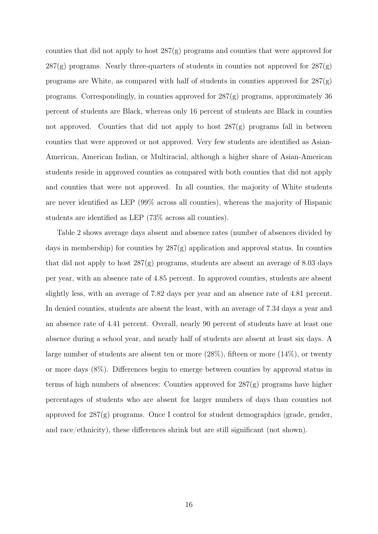counties that did not apply to host 287(g) programs and counties that were approved for  $287(g)$  programs. Nearly three-quarters of students in counties not approved for  $287(g)$ programs are White, as compared with half of students in counties approved for  $287(g)$ programs. Correspondingly, in counties approved for 287(g) programs, approximately 36 percent of students are Black, whereas only 16 percent of students are Black in counties not approved. Counties that did not apply to host  $287(g)$  programs fall in between counties that were approved or not approved. Very few students are identified as Asian-American, American Indian, or Multiracial, although a higher share of Asian-American students reside in approved counties as compared with both counties that did not apply and counties that were not approved. In all counties, the majority of White students are never identified as LEP (99% across all counties), whereas the majority of Hispanic students are identified as LEP (73% across all counties).

Table 2 shows average days absent and absence rates (number of absences divided by days in membership) for counties by  $287(g)$  application and approval status. In counties that did not apply to host  $287(g)$  programs, students are absent an average of 8.03 days per year, with an absence rate of 4.85 percent. In approved counties, students are absent slightly less, with an average of 7.82 days per year and an absence rate of 4.81 percent. In denied counties, students are absent the least, with an average of 7.34 days a year and an absence rate of 4.41 percent. Overall, nearly 90 percent of students have at least one absence during a school year, and nearly half of students are absent at least six days. A large number of students are absent ten or more (28%), fifteen or more (14%), or twenty or more days (8%). Differences begin to emerge between counties by approval status in terms of high numbers of absences: Counties approved for 287(g) programs have higher percentages of students who are absent for larger numbers of days than counties not approved for  $287(g)$  programs. Once I control for student demographics (grade, gender, and race/ethnicity), these differences shrink but are still significant (not shown).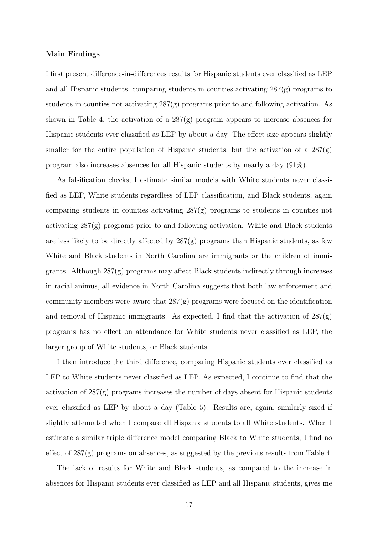#### Main Findings

I first present difference-in-differences results for Hispanic students ever classified as LEP and all Hispanic students, comparing students in counties activating 287(g) programs to students in counties not activating  $287(g)$  programs prior to and following activation. As shown in Table 4, the activation of a 287(g) program appears to increase absences for Hispanic students ever classified as LEP by about a day. The effect size appears slightly smaller for the entire population of Hispanic students, but the activation of a  $287(g)$ program also increases absences for all Hispanic students by nearly a day (91%).

As falsification checks, I estimate similar models with White students never classified as LEP, White students regardless of LEP classification, and Black students, again comparing students in counties activating 287(g) programs to students in counties not activating 287(g) programs prior to and following activation. White and Black students are less likely to be directly affected by  $287(g)$  programs than Hispanic students, as few White and Black students in North Carolina are immigrants or the children of immigrants. Although 287(g) programs may affect Black students indirectly through increases in racial animus, all evidence in North Carolina suggests that both law enforcement and community members were aware that  $287(g)$  programs were focused on the identification and removal of Hispanic immigrants. As expected, I find that the activation of 287(g) programs has no effect on attendance for White students never classified as LEP, the larger group of White students, or Black students.

I then introduce the third difference, comparing Hispanic students ever classified as LEP to White students never classified as LEP. As expected, I continue to find that the activation of  $287(g)$  programs increases the number of days absent for Hispanic students ever classified as LEP by about a day (Table 5). Results are, again, similarly sized if slightly attenuated when I compare all Hispanic students to all White students. When I estimate a similar triple difference model comparing Black to White students, I find no effect of 287(g) programs on absences, as suggested by the previous results from Table 4.

The lack of results for White and Black students, as compared to the increase in absences for Hispanic students ever classified as LEP and all Hispanic students, gives me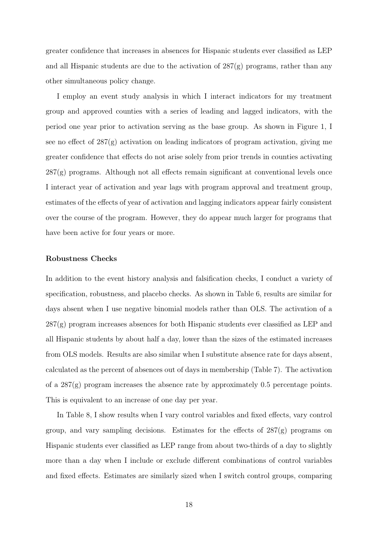greater confidence that increases in absences for Hispanic students ever classified as LEP and all Hispanic students are due to the activation of  $287(g)$  programs, rather than any other simultaneous policy change.

I employ an event study analysis in which I interact indicators for my treatment group and approved counties with a series of leading and lagged indicators, with the period one year prior to activation serving as the base group. As shown in Figure 1, I see no effect of 287(g) activation on leading indicators of program activation, giving me greater confidence that effects do not arise solely from prior trends in counties activating  $287(g)$  programs. Although not all effects remain significant at conventional levels once I interact year of activation and year lags with program approval and treatment group, estimates of the effects of year of activation and lagging indicators appear fairly consistent over the course of the program. However, they do appear much larger for programs that have been active for four years or more.

#### Robustness Checks

In addition to the event history analysis and falsification checks, I conduct a variety of specification, robustness, and placebo checks. As shown in Table 6, results are similar for days absent when I use negative binomial models rather than OLS. The activation of a  $287(g)$  program increases absences for both Hispanic students ever classified as LEP and all Hispanic students by about half a day, lower than the sizes of the estimated increases from OLS models. Results are also similar when I substitute absence rate for days absent, calculated as the percent of absences out of days in membership (Table 7). The activation of a 287(g) program increases the absence rate by approximately 0.5 percentage points. This is equivalent to an increase of one day per year.

In Table 8, I show results when I vary control variables and fixed effects, vary control group, and vary sampling decisions. Estimates for the effects of 287(g) programs on Hispanic students ever classified as LEP range from about two-thirds of a day to slightly more than a day when I include or exclude different combinations of control variables and fixed effects. Estimates are similarly sized when I switch control groups, comparing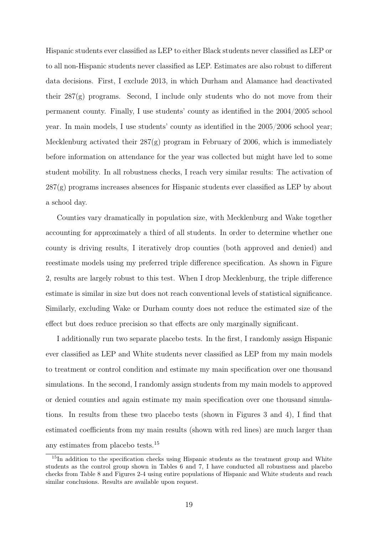Hispanic students ever classified as LEP to either Black students never classified as LEP or to all non-Hispanic students never classified as LEP. Estimates are also robust to different data decisions. First, I exclude 2013, in which Durham and Alamance had deactivated their  $287(g)$  programs. Second, I include only students who do not move from their permanent county. Finally, I use students' county as identified in the 2004/2005 school year. In main models, I use students' county as identified in the 2005/2006 school year; Mecklenburg activated their  $287(g)$  program in February of 2006, which is immediately before information on attendance for the year was collected but might have led to some student mobility. In all robustness checks, I reach very similar results: The activation of  $287(g)$  programs increases absences for Hispanic students ever classified as LEP by about a school day.

Counties vary dramatically in population size, with Mecklenburg and Wake together accounting for approximately a third of all students. In order to determine whether one county is driving results, I iteratively drop counties (both approved and denied) and reestimate models using my preferred triple difference specification. As shown in Figure 2, results are largely robust to this test. When I drop Mecklenburg, the triple difference estimate is similar in size but does not reach conventional levels of statistical significance. Similarly, excluding Wake or Durham county does not reduce the estimated size of the effect but does reduce precision so that effects are only marginally significant.

I additionally run two separate placebo tests. In the first, I randomly assign Hispanic ever classified as LEP and White students never classified as LEP from my main models to treatment or control condition and estimate my main specification over one thousand simulations. In the second, I randomly assign students from my main models to approved or denied counties and again estimate my main specification over one thousand simulations. In results from these two placebo tests (shown in Figures 3 and 4), I find that estimated coefficients from my main results (shown with red lines) are much larger than any estimates from placebo tests.<sup>15</sup>

<sup>&</sup>lt;sup>15</sup>In addition to the specification checks using Hispanic students as the treatment group and White students as the control group shown in Tables 6 and 7, I have conducted all robustness and placebo checks from Table 8 and Figures 2-4 using entire populations of Hispanic and White students and reach similar conclusions. Results are available upon request.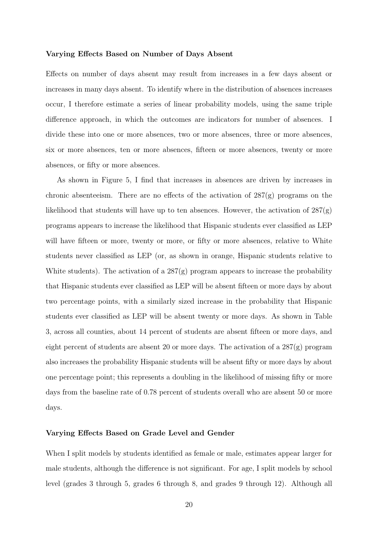#### Varying Effects Based on Number of Days Absent

Effects on number of days absent may result from increases in a few days absent or increases in many days absent. To identify where in the distribution of absences increases occur, I therefore estimate a series of linear probability models, using the same triple difference approach, in which the outcomes are indicators for number of absences. I divide these into one or more absences, two or more absences, three or more absences, six or more absences, ten or more absences, fifteen or more absences, twenty or more absences, or fifty or more absences.

As shown in Figure 5, I find that increases in absences are driven by increases in chronic absenteeism. There are no effects of the activation of 287(g) programs on the likelihood that students will have up to ten absences. However, the activation of  $287(g)$ programs appears to increase the likelihood that Hispanic students ever classified as LEP will have fifteen or more, twenty or more, or fifty or more absences, relative to White students never classified as LEP (or, as shown in orange, Hispanic students relative to White students). The activation of a  $287(g)$  program appears to increase the probability that Hispanic students ever classified as LEP will be absent fifteen or more days by about two percentage points, with a similarly sized increase in the probability that Hispanic students ever classified as LEP will be absent twenty or more days. As shown in Table 3, across all counties, about 14 percent of students are absent fifteen or more days, and eight percent of students are absent 20 or more days. The activation of a  $287(g)$  program also increases the probability Hispanic students will be absent fifty or more days by about one percentage point; this represents a doubling in the likelihood of missing fifty or more days from the baseline rate of 0.78 percent of students overall who are absent 50 or more days.

#### Varying Effects Based on Grade Level and Gender

When I split models by students identified as female or male, estimates appear larger for male students, although the difference is not significant. For age, I split models by school level (grades 3 through 5, grades 6 through 8, and grades 9 through 12). Although all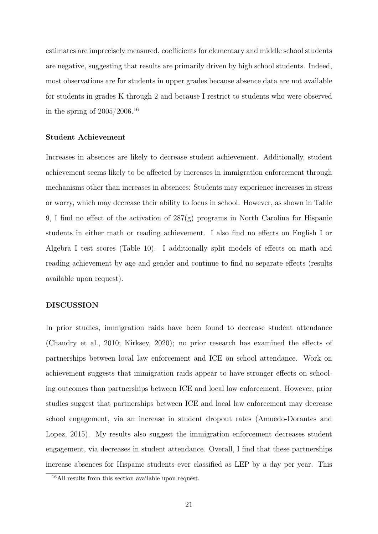estimates are imprecisely measured, coefficients for elementary and middle school students are negative, suggesting that results are primarily driven by high school students. Indeed, most observations are for students in upper grades because absence data are not available for students in grades K through 2 and because I restrict to students who were observed in the spring of  $2005/2006.^{16}\,$ 

#### Student Achievement

Increases in absences are likely to decrease student achievement. Additionally, student achievement seems likely to be affected by increases in immigration enforcement through mechanisms other than increases in absences: Students may experience increases in stress or worry, which may decrease their ability to focus in school. However, as shown in Table 9, I find no effect of the activation of 287(g) programs in North Carolina for Hispanic students in either math or reading achievement. I also find no effects on English I or Algebra I test scores (Table 10). I additionally split models of effects on math and reading achievement by age and gender and continue to find no separate effects (results available upon request).

#### DISCUSSION

In prior studies, immigration raids have been found to decrease student attendance (Chaudry et al., 2010; Kirksey, 2020); no prior research has examined the effects of partnerships between local law enforcement and ICE on school attendance. Work on achievement suggests that immigration raids appear to have stronger effects on schooling outcomes than partnerships between ICE and local law enforcement. However, prior studies suggest that partnerships between ICE and local law enforcement may decrease school engagement, via an increase in student dropout rates (Amuedo-Dorantes and Lopez, 2015). My results also suggest the immigration enforcement decreases student engagement, via decreases in student attendance. Overall, I find that these partnerships increase absences for Hispanic students ever classified as LEP by a day per year. This

<sup>16</sup>All results from this section available upon request.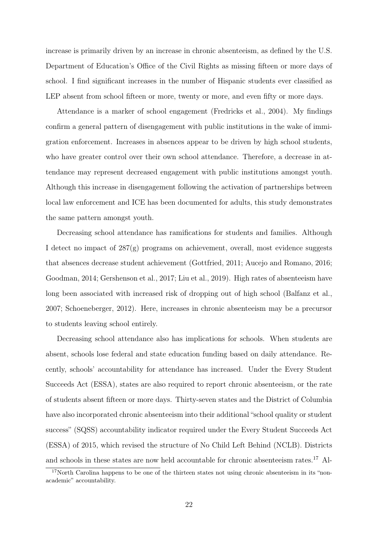increase is primarily driven by an increase in chronic absenteeism, as defined by the U.S. Department of Education's Office of the Civil Rights as missing fifteen or more days of school. I find significant increases in the number of Hispanic students ever classified as LEP absent from school fifteen or more, twenty or more, and even fifty or more days.

Attendance is a marker of school engagement (Fredricks et al., 2004). My findings confirm a general pattern of disengagement with public institutions in the wake of immigration enforcement. Increases in absences appear to be driven by high school students, who have greater control over their own school attendance. Therefore, a decrease in attendance may represent decreased engagement with public institutions amongst youth. Although this increase in disengagement following the activation of partnerships between local law enforcement and ICE has been documented for adults, this study demonstrates the same pattern amongst youth.

Decreasing school attendance has ramifications for students and families. Although I detect no impact of 287(g) programs on achievement, overall, most evidence suggests that absences decrease student achievement (Gottfried, 2011; Aucejo and Romano, 2016; Goodman, 2014; Gershenson et al., 2017; Liu et al., 2019). High rates of absenteeism have long been associated with increased risk of dropping out of high school (Balfanz et al., 2007; Schoeneberger, 2012). Here, increases in chronic absenteeism may be a precursor to students leaving school entirely.

Decreasing school attendance also has implications for schools. When students are absent, schools lose federal and state education funding based on daily attendance. Recently, schools' accountability for attendance has increased. Under the Every Student Succeeds Act (ESSA), states are also required to report chronic absenteeism, or the rate of students absent fifteen or more days. Thirty-seven states and the District of Columbia have also incorporated chronic absenteeism into their additional "school quality or student success" (SQSS) accountability indicator required under the Every Student Succeeds Act (ESSA) of 2015, which revised the structure of No Child Left Behind (NCLB). Districts and schools in these states are now held accountable for chronic absenteeism rates.<sup>17</sup> Al-

<sup>&</sup>lt;sup>17</sup>North Carolina happens to be one of the thirteen states not using chronic absenteeism in its "nonacademic" accountability.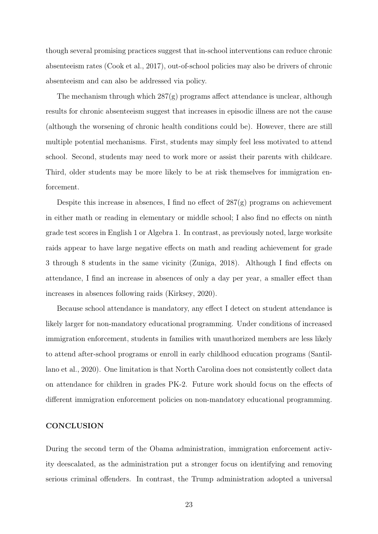though several promising practices suggest that in-school interventions can reduce chronic absenteeism rates (Cook et al., 2017), out-of-school policies may also be drivers of chronic absenteeism and can also be addressed via policy.

The mechanism through which  $287(g)$  programs affect attendance is unclear, although results for chronic absenteeism suggest that increases in episodic illness are not the cause (although the worsening of chronic health conditions could be). However, there are still multiple potential mechanisms. First, students may simply feel less motivated to attend school. Second, students may need to work more or assist their parents with childcare. Third, older students may be more likely to be at risk themselves for immigration enforcement.

Despite this increase in absences, I find no effect of 287(g) programs on achievement in either math or reading in elementary or middle school; I also find no effects on ninth grade test scores in English 1 or Algebra 1. In contrast, as previously noted, large worksite raids appear to have large negative effects on math and reading achievement for grade 3 through 8 students in the same vicinity (Zuniga, 2018). Although I find effects on attendance, I find an increase in absences of only a day per year, a smaller effect than increases in absences following raids (Kirksey, 2020).

Because school attendance is mandatory, any effect I detect on student attendance is likely larger for non-mandatory educational programming. Under conditions of increased immigration enforcement, students in families with unauthorized members are less likely to attend after-school programs or enroll in early childhood education programs (Santillano et al., 2020). One limitation is that North Carolina does not consistently collect data on attendance for children in grades PK-2. Future work should focus on the effects of different immigration enforcement policies on non-mandatory educational programming.

#### **CONCLUSION**

During the second term of the Obama administration, immigration enforcement activity deescalated, as the administration put a stronger focus on identifying and removing serious criminal offenders. In contrast, the Trump administration adopted a universal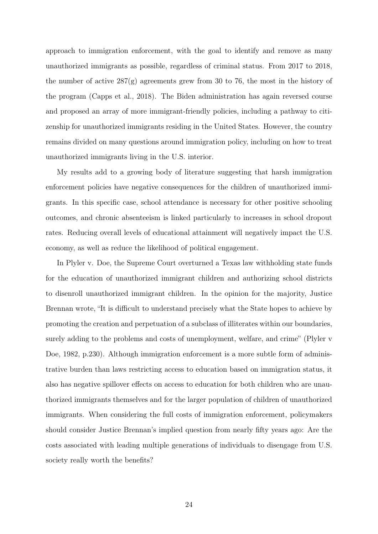approach to immigration enforcement, with the goal to identify and remove as many unauthorized immigrants as possible, regardless of criminal status. From 2017 to 2018, the number of active  $287(g)$  agreements grew from 30 to 76, the most in the history of the program (Capps et al., 2018). The Biden administration has again reversed course and proposed an array of more immigrant-friendly policies, including a pathway to citizenship for unauthorized immigrants residing in the United States. However, the country remains divided on many questions around immigration policy, including on how to treat unauthorized immigrants living in the U.S. interior.

My results add to a growing body of literature suggesting that harsh immigration enforcement policies have negative consequences for the children of unauthorized immigrants. In this specific case, school attendance is necessary for other positive schooling outcomes, and chronic absenteeism is linked particularly to increases in school dropout rates. Reducing overall levels of educational attainment will negatively impact the U.S. economy, as well as reduce the likelihood of political engagement.

In Plyler v. Doe, the Supreme Court overturned a Texas law withholding state funds for the education of unauthorized immigrant children and authorizing school districts to disenroll unauthorized immigrant children. In the opinion for the majority, Justice Brennan wrote, "It is difficult to understand precisely what the State hopes to achieve by promoting the creation and perpetuation of a subclass of illiterates within our boundaries, surely adding to the problems and costs of unemployment, welfare, and crime" (Plyler v Doe, 1982, p.230). Although immigration enforcement is a more subtle form of administrative burden than laws restricting access to education based on immigration status, it also has negative spillover effects on access to education for both children who are unauthorized immigrants themselves and for the larger population of children of unauthorized immigrants. When considering the full costs of immigration enforcement, policymakers should consider Justice Brennan's implied question from nearly fifty years ago: Are the costs associated with leading multiple generations of individuals to disengage from U.S. society really worth the benefits?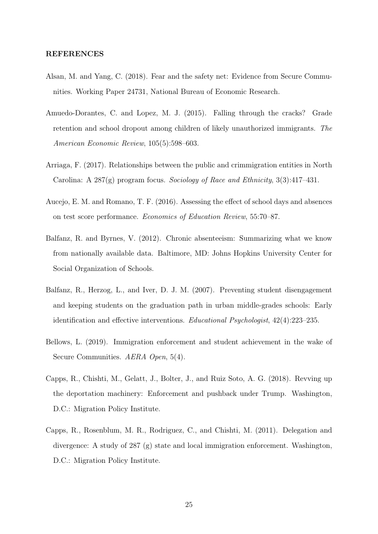#### REFERENCES

- Alsan, M. and Yang, C. (2018). Fear and the safety net: Evidence from Secure Communities. Working Paper 24731, National Bureau of Economic Research.
- Amuedo-Dorantes, C. and Lopez, M. J. (2015). Falling through the cracks? Grade retention and school dropout among children of likely unauthorized immigrants. The American Economic Review, 105(5):598–603.
- Arriaga, F. (2017). Relationships between the public and crimmigration entities in North Carolina: A  $287(g)$  program focus. Sociology of Race and Ethnicity,  $3(3):417-431$ .
- Aucejo, E. M. and Romano, T. F. (2016). Assessing the effect of school days and absences on test score performance. Economics of Education Review, 55:70–87.
- Balfanz, R. and Byrnes, V. (2012). Chronic absenteeism: Summarizing what we know from nationally available data. Baltimore, MD: Johns Hopkins University Center for Social Organization of Schools.
- Balfanz, R., Herzog, L., and Iver, D. J. M. (2007). Preventing student disengagement and keeping students on the graduation path in urban middle-grades schools: Early identification and effective interventions. Educational Psychologist, 42(4):223–235.
- Bellows, L. (2019). Immigration enforcement and student achievement in the wake of Secure Communities. AERA Open, 5(4).
- Capps, R., Chishti, M., Gelatt, J., Bolter, J., and Ruiz Soto, A. G. (2018). Revving up the deportation machinery: Enforcement and pushback under Trump. Washington, D.C.: Migration Policy Institute.
- Capps, R., Rosenblum, M. R., Rodriguez, C., and Chishti, M. (2011). Delegation and divergence: A study of 287 (g) state and local immigration enforcement. Washington, D.C.: Migration Policy Institute.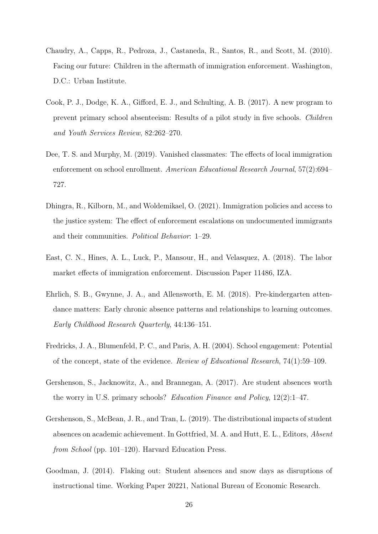- Chaudry, A., Capps, R., Pedroza, J., Castaneda, R., Santos, R., and Scott, M. (2010). Facing our future: Children in the aftermath of immigration enforcement. Washington, D.C.: Urban Institute.
- Cook, P. J., Dodge, K. A., Gifford, E. J., and Schulting, A. B. (2017). A new program to prevent primary school absenteeism: Results of a pilot study in five schools. Children and Youth Services Review, 82:262–270.
- Dee, T. S. and Murphy, M. (2019). Vanished classmates: The effects of local immigration enforcement on school enrollment. American Educational Research Journal, 57(2):694– 727.
- Dhingra, R., Kilborn, M., and Woldemikael, O. (2021). Immigration policies and access to the justice system: The effect of enforcement escalations on undocumented immigrants and their communities. Political Behavior: 1–29.
- East, C. N., Hines, A. L., Luck, P., Mansour, H., and Velasquez, A. (2018). The labor market effects of immigration enforcement. Discussion Paper 11486, IZA.
- Ehrlich, S. B., Gwynne, J. A., and Allensworth, E. M. (2018). Pre-kindergarten attendance matters: Early chronic absence patterns and relationships to learning outcomes. Early Childhood Research Quarterly, 44:136–151.
- Fredricks, J. A., Blumenfeld, P. C., and Paris, A. H. (2004). School engagement: Potential of the concept, state of the evidence. Review of Educational Research, 74(1):59–109.
- Gershenson, S., Jacknowitz, A., and Brannegan, A. (2017). Are student absences worth the worry in U.S. primary schools? Education Finance and Policy, 12(2):1–47.
- Gershenson, S., McBean, J. R., and Tran, L. (2019). The distributional impacts of student absences on academic achievement. In Gottfried, M. A. and Hutt, E. L., Editors, Absent from School (pp. 101–120). Harvard Education Press.
- Goodman, J. (2014). Flaking out: Student absences and snow days as disruptions of instructional time. Working Paper 20221, National Bureau of Economic Research.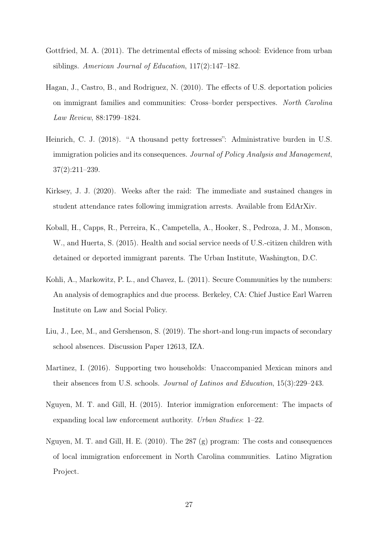- Gottfried, M. A. (2011). The detrimental effects of missing school: Evidence from urban siblings. American Journal of Education, 117(2):147–182.
- Hagan, J., Castro, B., and Rodriguez, N. (2010). The effects of U.S. deportation policies on immigrant families and communities: Cross–border perspectives. North Carolina Law Review, 88:1799–1824.
- Heinrich, C. J. (2018). "A thousand petty fortresses": Administrative burden in U.S. immigration policies and its consequences. Journal of Policy Analysis and Management, 37(2):211–239.
- Kirksey, J. J. (2020). Weeks after the raid: The immediate and sustained changes in student attendance rates following immigration arrests. Available from EdArXiv.
- Koball, H., Capps, R., Perreira, K., Campetella, A., Hooker, S., Pedroza, J. M., Monson, W., and Huerta, S. (2015). Health and social service needs of U.S.-citizen children with detained or deported immigrant parents. The Urban Institute, Washington, D.C.
- Kohli, A., Markowitz, P. L., and Chavez, L. (2011). Secure Communities by the numbers: An analysis of demographics and due process. Berkeley, CA: Chief Justice Earl Warren Institute on Law and Social Policy.
- Liu, J., Lee, M., and Gershenson, S. (2019). The short-and long-run impacts of secondary school absences. Discussion Paper 12613, IZA.
- Martinez, I. (2016). Supporting two households: Unaccompanied Mexican minors and their absences from U.S. schools. Journal of Latinos and Education, 15(3):229–243.
- Nguyen, M. T. and Gill, H. (2015). Interior immigration enforcement: The impacts of expanding local law enforcement authority. Urban Studies: 1–22.
- Nguyen, M. T. and Gill, H. E. (2010). The 287 (g) program: The costs and consequences of local immigration enforcement in North Carolina communities. Latino Migration Project.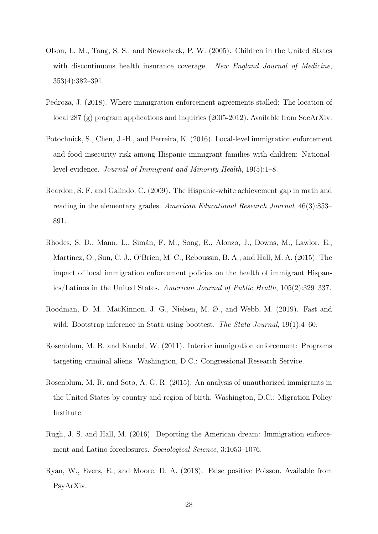- Olson, L. M., Tang, S. S., and Newacheck, P. W. (2005). Children in the United States with discontinuous health insurance coverage. New England Journal of Medicine, 353(4):382–391.
- Pedroza, J. (2018). Where immigration enforcement agreements stalled: The location of local 287 (g) program applications and inquiries (2005-2012). Available from SocArXiv.
- Potochnick, S., Chen, J.-H., and Perreira, K. (2016). Local-level immigration enforcement and food insecurity risk among Hispanic immigrant families with children: Nationallevel evidence. Journal of Immigrant and Minority Health, 19(5):1–8.
- Reardon, S. F. and Galindo, C. (2009). The Hispanic-white achievement gap in math and reading in the elementary grades. American Educational Research Journal, 46(3):853– 891.
- Rhodes, S. D., Mann, L., Simán, F. M., Song, E., Alonzo, J., Downs, M., Lawlor, E., Martinez, O., Sun, C. J., O'Brien, M. C., Reboussin, B. A., and Hall, M. A. (2015). The impact of local immigration enforcement policies on the health of immigrant Hispanics/Latinos in the United States. American Journal of Public Health, 105(2):329–337.
- Roodman, D. M., MacKinnon, J. G., Nielsen, M. Ø., and Webb, M. (2019). Fast and wild: Bootstrap inference in Stata using boottest. The Stata Journal, 19(1):4–60.
- Rosenblum, M. R. and Kandel, W. (2011). Interior immigration enforcement: Programs targeting criminal aliens. Washington, D.C.: Congressional Research Service.
- Rosenblum, M. R. and Soto, A. G. R. (2015). An analysis of unauthorized immigrants in the United States by country and region of birth. Washington, D.C.: Migration Policy Institute.
- Rugh, J. S. and Hall, M. (2016). Deporting the American dream: Immigration enforcement and Latino foreclosures. Sociological Science, 3:1053–1076.
- Ryan, W., Evers, E., and Moore, D. A. (2018). False positive Poisson. Available from PsyArXiv.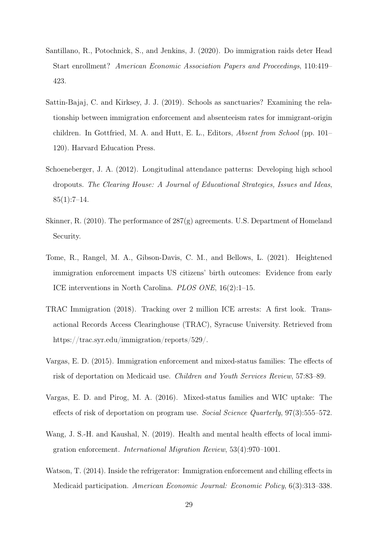- Santillano, R., Potochnick, S., and Jenkins, J. (2020). Do immigration raids deter Head Start enrollment? American Economic Association Papers and Proceedings, 110:419– 423.
- Sattin-Bajaj, C. and Kirksey, J. J. (2019). Schools as sanctuaries? Examining the relationship between immigration enforcement and absenteeism rates for immigrant-origin children. In Gottfried, M. A. and Hutt, E. L., Editors, Absent from School (pp. 101– 120). Harvard Education Press.
- Schoeneberger, J. A. (2012). Longitudinal attendance patterns: Developing high school dropouts. The Clearing House: A Journal of Educational Strategies, Issues and Ideas,  $85(1):7-14.$
- Skinner, R. (2010). The performance of 287(g) agreements. U.S. Department of Homeland Security.
- Tome, R., Rangel, M. A., Gibson-Davis, C. M., and Bellows, L. (2021). Heightened immigration enforcement impacts US citizens' birth outcomes: Evidence from early ICE interventions in North Carolina. PLOS ONE, 16(2):1–15.
- TRAC Immigration (2018). Tracking over 2 million ICE arrests: A first look. Transactional Records Access Clearinghouse (TRAC), Syracuse University. Retrieved from https://trac.syr.edu/immigration/reports/529/.
- Vargas, E. D. (2015). Immigration enforcement and mixed-status families: The effects of risk of deportation on Medicaid use. Children and Youth Services Review, 57:83–89.
- Vargas, E. D. and Pirog, M. A. (2016). Mixed-status families and WIC uptake: The effects of risk of deportation on program use. Social Science Quarterly, 97(3):555–572.
- Wang, J. S.-H. and Kaushal, N. (2019). Health and mental health effects of local immigration enforcement. International Migration Review, 53(4):970–1001.
- Watson, T. (2014). Inside the refrigerator: Immigration enforcement and chilling effects in Medicaid participation. American Economic Journal: Economic Policy, 6(3):313–338.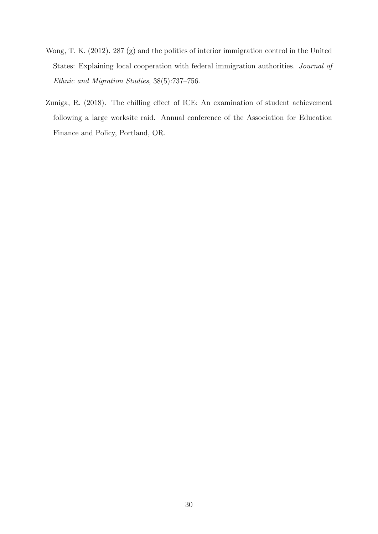- Wong, T. K. (2012). 287 (g) and the politics of interior immigration control in the United States: Explaining local cooperation with federal immigration authorities. Journal of Ethnic and Migration Studies, 38(5):737–756.
- Zuniga, R. (2018). The chilling effect of ICE: An examination of student achievement following a large worksite raid. Annual conference of the Association for Education Finance and Policy, Portland, OR.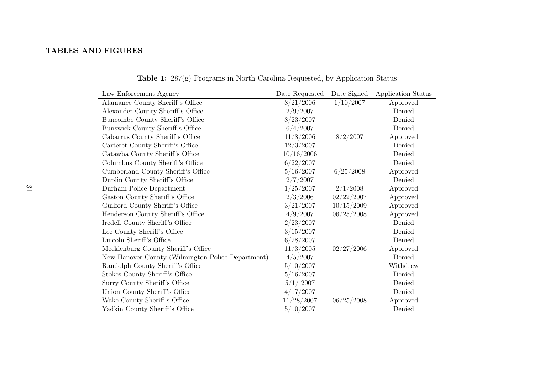## TABLES AND FIGURES

| Law Enforcement Agency                            | Date Requested | Date Signed | Application Status |
|---------------------------------------------------|----------------|-------------|--------------------|
| Alamance County Sheriff's Office                  | 8/21/2006      | 1/10/2007   | Approved           |
| Alexander County Sheriff's Office                 | 2/9/2007       |             | Denied             |
| Buncombe County Sheriff's Office                  | 8/23/2007      |             | Denied             |
| Bunswick County Sheriff's Office                  | 6/4/2007       |             | Denied             |
| Cabarrus County Sheriff's Office                  | 11/8/2006      | 8/2/2007    | Approved           |
| Carteret County Sheriff's Office                  | 12/3/2007      |             | Denied             |
| Catawba County Sheriff's Office                   | 10/16/2006     |             | Denied             |
| Columbus County Sheriff's Office                  | 6/22/2007      |             | Denied             |
| Cumberland County Sheriff's Office                | 5/16/2007      | 6/25/2008   | Approved           |
| Duplin County Sheriff's Office                    | 2/7/2007       |             | Denied             |
| Durham Police Department                          | 1/25/2007      | 2/1/2008    | Approved           |
| Gaston County Sheriff's Office                    | 2/3/2006       | 02/22/2007  | Approved           |
| Guilford County Sheriff's Office                  | 3/21/2007      | 10/15/2009  | Approved           |
| Henderson County Sheriff's Office                 | 4/9/2007       | 06/25/2008  | Approved           |
| Iredell County Sheriff's Office                   | 2/23/2007      |             | Denied             |
| Lee County Sheriff's Office                       | 3/15/2007      |             | Denied             |
| Lincoln Sheriff's Office                          | 6/28/2007      |             | Denied             |
| Mecklenburg County Sheriff's Office               | 11/3/2005      | 02/27/2006  | Approved           |
| New Hanover County (Wilmington Police Department) | 4/5/2007       |             | Denied             |
| Randolph County Sheriff's Office                  | $5/10/2007$    |             | Withdrew           |
| Stokes County Sheriff's Office                    | 5/16/2007      |             | Denied             |
| Surry County Sheriff's Office                     | 5/1/2007       |             | Denied             |
| Union County Sheriff's Office                     | 4/17/2007      |             | Denied             |
| Wake County Sheriff's Office                      | 11/28/2007     | 06/25/2008  | Approved           |
| Yadkin County Sheriff's Office                    | 5/10/2007      |             | Denied             |

Table 1: 287(g) Programs in North Carolina Requested, by Application Status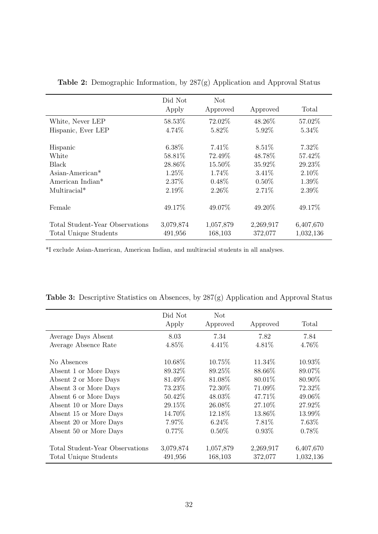|                                 | Did Not   | Not       |           |           |
|---------------------------------|-----------|-----------|-----------|-----------|
|                                 | Apply     | Approved  | Approved  | Total     |
| White, Never LEP                | 58.53%    | 72.02%    | 48.26%    | 57.02%    |
| Hispanic, Ever LEP              | 4.74%     | 5.82%     | 5.92%     | 5.34\%    |
| Hispanic                        | 6.38%     | 7.41\%    | 8.51\%    | 7.32\%    |
| White                           | 58.81%    | 72.49%    | 48.78%    | 57.42%    |
| Black                           | 28.86%    | 15.50%    | 35.92%    | 29.23%    |
| $\text{Asian-American*}$        | 1.25%     | 1.74%     | 3.41\%    | $2.10\%$  |
| American Indian*                | 2.37%     | $0.48\%$  | $0.50\%$  | 1.39%     |
| Multiracial*                    | 2.19%     | 2.26%     | 2.71%     | 2.39%     |
| Female                          | 49.17%    | 49.07%    | 49.20%    | 49.17%    |
| Total Student-Year Observations | 3,079,874 | 1,057,879 | 2,269,917 | 6,407,670 |
| Total Unique Students           | 491,956   | 168,103   | 372,077   | 1,032,136 |

Table 2: Demographic Information, by 287(g) Application and Approval Status

\*I exclude Asian-American, American Indian, and multiracial students in all analyses.

|                                 | Did Not<br>Apply | Not<br>Approved | Approved  | Total     |
|---------------------------------|------------------|-----------------|-----------|-----------|
| Average Days Absent             | 8.03             | 7.34            | 7.82      | 7.84      |
| Average Absence Rate            | 4.85%            | 4.41\%          | 4.81\%    | 4.76%     |
| No Absences                     | 10.68%           | 10.75%          | 11.34\%   | 10.93%    |
| Absent 1 or More Days           | 89.32\%          | 89.25\%         | 88.66\%   | 89.07%    |
| Absent 2 or More Days           | 81.49%           | 81.08\%         | 80.01\%   | 80.90%    |
| Absent 3 or More Days           | 73.23%           | 72.30\%         | 71.09%    | 72.32%    |
| Absent 6 or More Days           | 50.42\%          | 48.03\%         | 47.71\%   | 49.06%    |
| Absent 10 or More Days          | 29.15%           | 26.08%          | 27.10\%   | 27.92%    |
| Absent 15 or More Days          | 14.70%           | 12.18\%         | 13.86%    | 13.99%    |
| Absent 20 or More Days          | 7.97%            | $6.24\%$        | 7.81\%    | 7.63%     |
| Absent 50 or More Days          | $0.77\%$         | $0.50\%$        | $0.93\%$  | 0.78%     |
| Total Student-Year Observations | 3,079,874        | 1,057,879       | 2,269,917 | 6,407,670 |
| Total Unique Students           | 491,956          | 168,103         | 372,077   | 1,032,136 |

|  |  | <b>Table 3:</b> Descriptive Statistics on Absences, by $287(g)$ Application and Approval Status |  |
|--|--|-------------------------------------------------------------------------------------------------|--|
|  |  |                                                                                                 |  |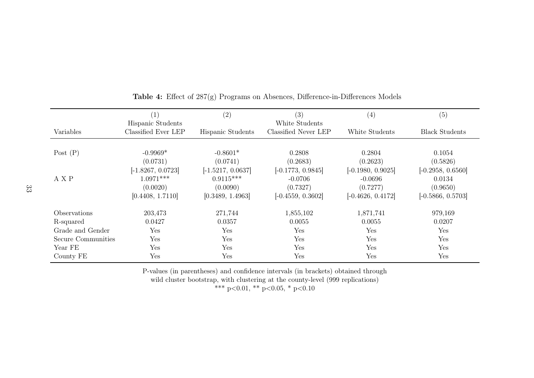|                            | (1)<br>Hispanic Students                      | (2)                                           | (3)<br>White Students                        | (4)                                          | (5)                                       |
|----------------------------|-----------------------------------------------|-----------------------------------------------|----------------------------------------------|----------------------------------------------|-------------------------------------------|
| Variables                  | Classified Ever LEP                           | Hispanic Students                             | Classified Never LEP                         | White Students                               | <b>Black Students</b>                     |
| Post $(P)$                 | $-0.9969*$<br>(0.0731)<br>$[-1.8267, 0.0723]$ | $-0.8601*$<br>(0.0741)<br>$[-1.5217, 0.0637]$ | 0.2808<br>(0.2683)<br>$[-0.1773, 0.9845]$    | 0.2804<br>(0.2623)<br>$[-0.1980, 0.9025]$    | 0.1054<br>(0.5826)<br>$[-0.2958, 0.6560]$ |
| A X P                      | $1.0971***$<br>(0.0020)<br>[0.4408, 1.7110]   | $0.9115***$<br>(0.0090)<br>[0.3489, 1.4963]   | $-0.0706$<br>(0.7327)<br>$[-0.4559, 0.3602]$ | $-0.0696$<br>(0.7277)<br>$[-0.4626, 0.4172]$ | 0.0134<br>(0.9650)<br>$[-0.5866, 0.5703]$ |
| <i><b>Observations</b></i> | 203,473                                       | 271,744                                       | 1,855,102                                    | 1,871,741                                    | 979,169                                   |
| R-squared                  | 0.0427                                        | 0.0357                                        | 0.0055                                       | 0.0055                                       | 0.0207                                    |
| Grade and Gender           | Yes                                           | Yes                                           | Yes                                          | Yes                                          | Yes                                       |
| Secure Communities         | Yes                                           | Yes                                           | Yes                                          | Yes                                          | Yes                                       |
| Year FE                    | Yes                                           | Yes                                           | Yes                                          | Yes                                          | Yes                                       |
| County FE                  | Yes                                           | Yes                                           | Yes                                          | Yes                                          | Yes                                       |

Table 4: Effect of 287(g) Programs on Absences, Difference-in-Differences Models

P-values (in parentheses) and confidence intervals (in brackets) obtained through

wild cluster bootstrap, with clustering at the county-level (999 replications)<br>\*\*\*  $p<0.01$ , \*\*  $p<0.05$ , \*  $p<0.10$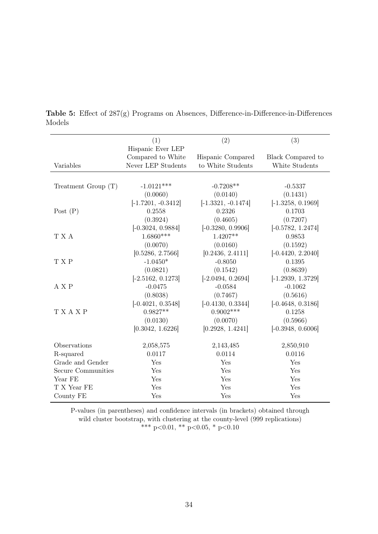|                           | (1)                  | (2)                  | (3)                 |
|---------------------------|----------------------|----------------------|---------------------|
|                           | Hispanic Ever LEP    |                      |                     |
|                           | Compared to White    | Hispanic Compared    | Black Compared to   |
| Variables                 | Never LEP Students   | to White Students    | White Students      |
|                           |                      |                      |                     |
| Treatment Group $(T)$     | $-1.0121***$         | $-0.7208**$          | $-0.5337$           |
|                           | (0.0060)             | (0.0140)             | (0.1431)            |
|                           | $[-1.7201, -0.3412]$ | $[-1.3321, -0.1474]$ | $[-1.3258, 0.1969]$ |
| Post $(P)$                | 0.2558               | 0.2326               | 0.1703              |
|                           | (0.3924)             | (0.4605)             | (0.7207)            |
|                           | $[-0.3024, 0.9884]$  | $[-0.3280, 0.9906]$  | $[-0.5782, 1.2474]$ |
| T X A                     | $1.6860***$          | $1.4207**$           | 0.9853              |
|                           | (0.0070)             | (0.0160)             | (0.1592)            |
|                           | [0.5286, 2.7566]     | [0.2436, 2.4111]     | $[-0.4420, 2.2040]$ |
| T X P                     | $-1.0450*$           | $-0.8050$            | 0.1395              |
|                           | (0.0821)             | (0.1542)             | (0.8639)            |
|                           | $[-2.5162, 0.1273]$  | $[-2.0494, 0.2694]$  | $[-1.2939, 1.3729]$ |
| A X P                     | $-0.0475$            | $-0.0584$            | $-0.1062$           |
|                           | (0.8038)             | (0.7467)             | (0.5616)            |
|                           | $[-0.4021, 0.3548]$  | $[-0.4130, 0.3344]$  | $[-0.4648, 0.3186]$ |
| T X A X P                 | $0.9827**$           | $0.9002***$          | 0.1258              |
|                           | (0.0130)             | (0.0070)             | (0.5966)            |
|                           | [0.3042, 1.6226]     | [0.2928, 1.4241]     | $[-0.3948, 0.6006]$ |
| Observations              | 2,058,575            | 2,143,485            | 2,850,910           |
| R-squared                 | 0.0117               | 0.0114               | 0.0116              |
| Grade and Gender          | Yes                  | Yes                  | Yes                 |
| <b>Secure Communities</b> | Yes                  | Yes                  | Yes                 |
| Year FE                   | Yes                  | Yes                  | Yes                 |
| T X Year FE               | Yes                  | Yes                  | Yes                 |
| County FE                 | Yes                  | Yes                  | Yes                 |

Table 5: Effect of 287(g) Programs on Absences, Difference-in-Difference-in-Differences Models

P-values (in parentheses) and confidence intervals (in brackets) obtained through wild cluster bootstrap, with clustering at the county-level (999 replications) \*\*\* p<0.01, \*\* p<0.05, \* p<0.10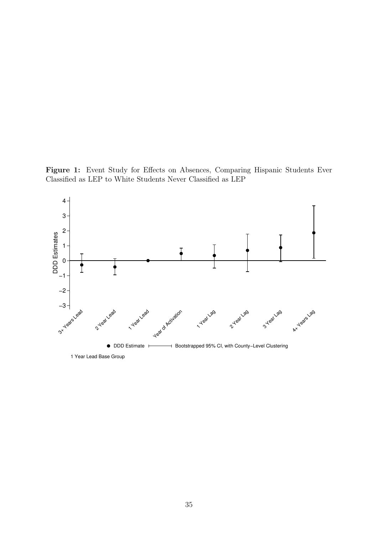Figure 1: Event Study for Effects on Absences, Comparing Hispanic Students Ever Classified as LEP to White Students Never Classified as LEP

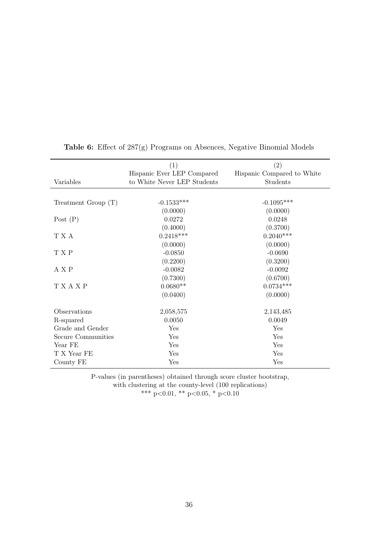|                       | (1)                                                       | (2)                                    |
|-----------------------|-----------------------------------------------------------|----------------------------------------|
| Variables             | Hispanic Ever LEP Compared<br>to White Never LEP Students | Hispanic Compared to White<br>Students |
|                       |                                                           |                                        |
|                       |                                                           |                                        |
| Treatment Group $(T)$ | $-0.1533***$                                              | $-0.1095***$                           |
|                       | (0.0000)                                                  | (0.0000)                               |
| Post $(P)$            | 0.0272                                                    | 0.0248                                 |
|                       | (0.4000)                                                  | (0.3700)                               |
| T X A                 | $0.2418***$                                               | $0.2040***$                            |
|                       | (0.0000)                                                  | (0.0000)                               |
| T X P                 | $-0.0850$                                                 | $-0.0690$                              |
|                       | (0.2200)                                                  | (0.3200)                               |
| A X P                 | $-0.0082$                                                 | $-0.0092$                              |
|                       | (0.7300)                                                  | (0.6700)                               |
| <b>TXAXP</b>          | $0.0680**$                                                | $0.0734***$                            |
|                       | (0.0400)                                                  | (0.0000)                               |
|                       |                                                           |                                        |
| Observations          | 2,058,575                                                 | 2,143,485                              |
| R-squared             | 0.0050                                                    | 0.0049                                 |
| Grade and Gender      | Yes                                                       | Yes                                    |
| Secure Communities    | Yes                                                       | Yes                                    |
| Year FE               | Yes                                                       | Yes                                    |
| T X Year FE           | Yes                                                       | Yes                                    |
| County FE             | Yes                                                       | Yes                                    |

Table 6: Effect of 287(g) Programs on Absences, Negative Binomial Models

P-values (in parentheses) obtained through score cluster bootstrap, with clustering at the county-level (100 replications) \*\*\*  $p<0.01$ , \*\*  $p<0.05$ , \*  $p<0.10$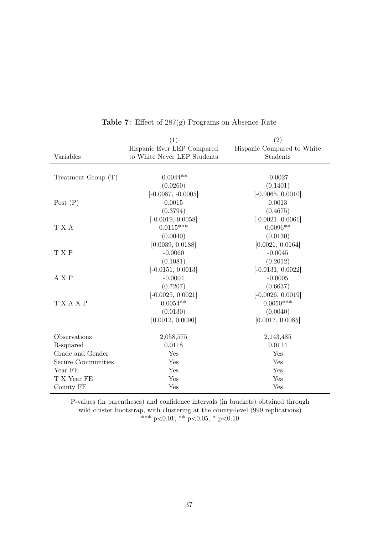|                       | (1)                         | (2)                        |
|-----------------------|-----------------------------|----------------------------|
|                       | Hispanic Ever LEP Compared  | Hispanic Compared to White |
| Variables             | to White Never LEP Students | Students                   |
|                       |                             |                            |
| Treatment Group $(T)$ | $-0.0044**$                 | $-0.0027$                  |
|                       | (0.0260)                    | (0.1401)                   |
|                       | $[-0.0087, -0.0005]$        | $[-0.0065, 0.0010]$        |
| Post $(P)$            | 0.0015                      | 0.0013                     |
|                       | (0.3794)                    | (0.4675)                   |
|                       | $[-0.0019, 0.0058]$         | $[-0.0021, 0.0061]$        |
| T X A                 | $0.0115***$                 | $0.0096**$                 |
|                       | (0.0040)                    | (0.0130)                   |
|                       | [0.0039, 0.0188]            | [0.0021, 0.0164]           |
| T X P                 | $-0.0060$                   | $-0.0045$                  |
|                       | (0.1081)                    | (0.2012)                   |
|                       | $[-0.0151, 0.0013]$         | $[-0.0131, 0.0022]$        |
| A X P                 | $-0.0004$                   | $-0.0005$                  |
|                       | (0.7207)                    | (0.6637)                   |
|                       | $[-0.0025, 0.0021]$         | $[-0.0026, 0.0019]$        |
| <b>TXAXP</b>          | $0.0054**$                  | $0.0050***$                |
|                       | (0.0130)                    | (0.0040)                   |
|                       | [0.0012, 0.0090]            | [0.0017, 0.0085]           |
| Observations          | 2,058,575                   | 2,143,485                  |
| R-squared             | 0.0118                      | 0.0114                     |
| Grade and Gender      | Yes                         | Yes                        |
| Secure Communities    | Yes                         | Yes                        |
| Year FE               | Yes                         | Yes                        |
| T X Year FE           | Yes                         | Yes                        |
| County FE             | Yes                         | Yes                        |

Table 7: Effect of 287(g) Programs on Absence Rate

P-values (in parentheses) and confidence intervals (in brackets) obtained through wild cluster bootstrap, with clustering at the county-level (999 replications) \*\*\* p<0.01, \*\* p<0.05, \* p<0.10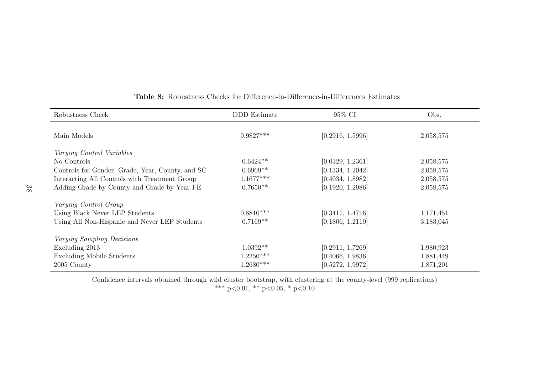| Robustness Check                                 | DDD Estimate | 95% CI           | Obs.      |
|--------------------------------------------------|--------------|------------------|-----------|
| Main Models                                      | $0.9827***$  | [0.2916, 1.5996] | 2,058,575 |
| Varying Control Variables                        |              |                  |           |
| No Controls                                      | $0.6424**$   | [0.0329, 1.2361] | 2,058,575 |
| Controls for Gender, Grade, Year, County, and SC | $0.6969**$   | [0.1334, 1.2042] | 2,058,575 |
| Interacting All Controls with Treatment Group    | $1.1677***$  | [0.4034, 1.8982] | 2,058,575 |
| Adding Grade by County and Grade by Year FE      | $0.7650**$   | [0.1920, 1.2986] | 2,058,575 |
| Varying Control Group                            |              |                  |           |
| Using Black Never LEP Students                   | $0.8810***$  | [0.3417, 1.4716] | 1,171,451 |
| Using All Non-Hispanic and Never LEP Students    | $0.7169**$   | [0.1806, 1.2119] | 3,183,045 |
| Varying Sampling Decisions                       |              |                  |           |
| Excluding 2013                                   | $1.0392**$   | [0.2911, 1.7269] | 1,980,923 |
| <b>Excluding Mobile Students</b>                 | $1.2250***$  | [0.4066, 1.9836] | 1,881,449 |
| 2005 County                                      | $1.2680***$  | [0.5272, 1.9972] | 1,871,201 |

## Table 8: Robustness Checks for Difference-in-Difference-in-Differences Estimates

Confidence intervals obtained through wild cluster bootstrap, with clustering at the county-level (999 replications)<br>\*\*\* p<0.01, \*\* p<0.05, \* p<0.10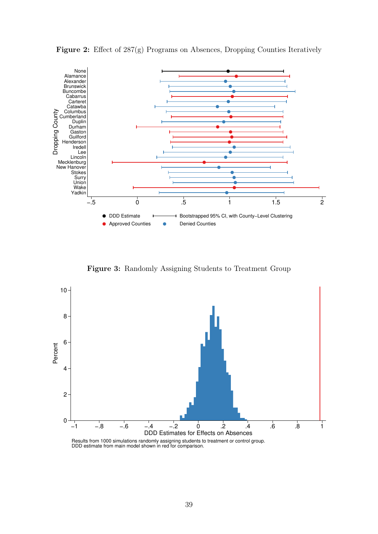

Figure 2: Effect of 287(g) Programs on Absences, Dropping Counties Iteratively

Figure 3: Randomly Assigning Students to Treatment Group



DDD estimate from main model shown in red for comparison.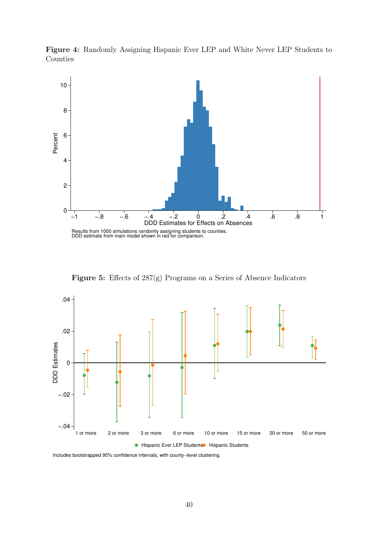Figure 4: Randomly Assigning Hispanic Ever LEP and White Never LEP Students to Counties



Figure 5: Effects of 287(g) Programs on a Series of Absence Indicators



Includes bootstrapped 95% confidence intervals, with county−level clustering.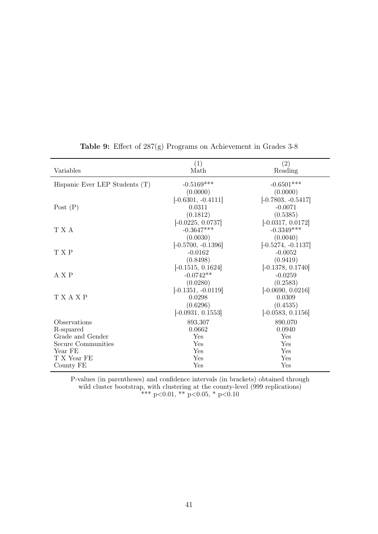| Variables                        | (1)<br>Math          | (2)<br>Reading       |
|----------------------------------|----------------------|----------------------|
| Hispanic Ever LEP Students $(T)$ | $-0.5169***$         | $-0.6501***$         |
|                                  | (0.0000)             | (0.0000)             |
|                                  | $[-0.6301, -0.4111]$ | $[-0.7803, -0.5417]$ |
| Post $(P)$                       | 0.0311               | $-0.0071$            |
|                                  | (0.1812)             | (0.5385)             |
|                                  | $[-0.0225, 0.0737]$  | $[-0.0317, 0.0172]$  |
| T X A                            | $-0.3647***$         | $-0.3349***$         |
|                                  | (0.0030)             | (0.0040)             |
|                                  | $[-0.5700, -0.1396]$ | $[-0.5274, -0.1137]$ |
| T X P                            | $-0.0162$            | $-0.0052$            |
|                                  | (0.8498)             | (0.9419)             |
|                                  | $[-0.1515, 0.1624]$  | $[-0.1378, 0.1740]$  |
| A X P                            | $-0.0742**$          | $-0.0259$            |
|                                  | (0.0280)             | (0.2583)             |
|                                  | $[-0.1351, -0.0119]$ | $[-0.0690, 0.0216]$  |
| T X A X P                        | 0.0298               | 0.0309               |
|                                  | (0.6296)             | (0.4535)             |
|                                  | $[-0.0931, 0.1553]$  | $[-0.0583, 0.1156]$  |
| Observations                     | 893,307              | 890,070              |
| R-squared                        | 0.0662               | 0.0940               |
| Grade and Gender                 | Yes                  | Yes                  |
| Secure Communities               | Yes                  | Yes                  |
| Year FE                          | Yes                  | Yes                  |
| T X Year FE                      | Yes                  | Yes                  |
| County FE                        | $_{\rm Yes}$         | Yes                  |

Table 9: Effect of 287(g) Programs on Achievement in Grades 3-8

P-values (in parentheses) and confidence intervals (in brackets) obtained through wild cluster bootstrap, with clustering at the county-level (999 replications) \*\*\* p<0.01, \*\* p<0.05, \* p<0.10